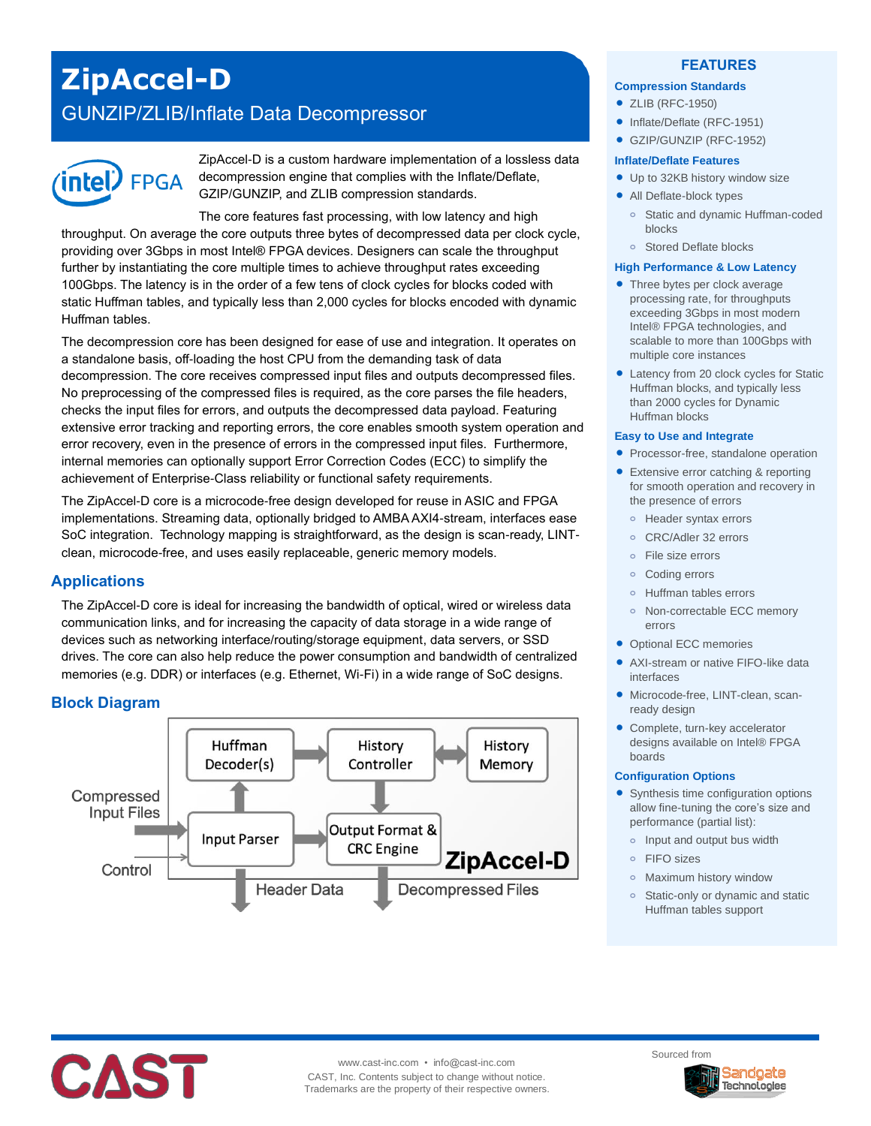# **ZipAccel-D**

## GUNZIP/ZLIB/Inflate Data Decompressor



ZipAccel-D is a custom hardware implementation of a lossless data decompression engine that complies with the Inflate/Deflate, GZIP/GUNZIP, and ZLIB compression standards.

The core features fast processing, with low latency and high throughput. On average the core outputs three bytes of decompressed data per clock cycle, providing over 3Gbps in most Intel® FPGA devices. Designers can scale the throughput further by instantiating the core multiple times to achieve throughput rates exceeding 100Gbps. The latency is in the order of a few tens of clock cycles for blocks coded with static Huffman tables, and typically less than 2,000 cycles for blocks encoded with dynamic Huffman tables.

The decompression core has been designed for ease of use and integration. It operates on a standalone basis, off-loading the host CPU from the demanding task of data decompression. The core receives compressed input files and outputs decompressed files. No preprocessing of the compressed files is required, as the core parses the file headers, checks the input files for errors, and outputs the decompressed data payload. Featuring extensive error tracking and reporting errors, the core enables smooth system operation and error recovery, even in the presence of errors in the compressed input files. Furthermore, internal memories can optionally support Error Correction Codes (ECC) to simplify the achievement of Enterprise-Class reliability or functional safety requirements.

The ZipAccel-D core is a microcode-free design developed for reuse in ASIC and FPGA implementations. Streaming data, optionally bridged to AMBA AXI4-stream, interfaces ease SoC integration. Technology mapping is straightforward, as the design is scan-ready, LINTclean, microcode-free, and uses easily replaceable, generic memory models.

## **Applications**

The ZipAccel-D core is ideal for increasing the bandwidth of optical, wired or wireless data communication links, and for increasing the capacity of data storage in a wide range of devices such as networking interface/routing/storage equipment, data servers, or SSD drives. The core can also help reduce the power consumption and bandwidth of centralized memories (e.g. DDR) or interfaces (e.g. Ethernet, Wi-Fi) in a wide range of SoC designs.

## **Block Diagram**



#### **FEATURES**

#### **Compression Standards**

- ZLIB (RFC-1950)
- Inflate/Deflate (RFC-1951)
- GZIP/GUNZIP (RFC-1952)

#### **Inflate/Deflate Features**

- Up to 32KB history window size
- All Deflate-block types
	- **o** Static and dynamic Huffman-coded blocks
	- **o** Stored Deflate blocks

#### **High Performance & Low Latency**

- Three bytes per clock average processing rate, for throughputs exceeding 3Gbps in most modern Intel® FPGA technologies, and scalable to more than 100Gbps with multiple core instances
- Latency from 20 clock cycles for Static Huffman blocks, and typically less than 2000 cycles for Dynamic Huffman blocks

#### **Easy to Use and Integrate**

- Processor-free, standalone operation
- Extensive error catching & reporting for smooth operation and recovery in the presence of errors
	- **o** Header syntax errors
	- **o** CRC/Adler 32 errors
	- **o** File size errors
	- **o** Coding errors
	- **o** Huffman tables errors
	- **o** Non-correctable ECC memory errors
- Optional ECC memories
- AXI-stream or native FIFO-like data interfaces
- Microcode-free, LINT-clean, scanready design
- Complete, turn-key accelerator designs available on Intel® FPGA boards

#### **Configuration Options**

- Synthesis time configuration options allow fine-tuning the core's size and performance (partial list):
	- **o** Input and output bus width
	- **o** FIFO sizes
	- **o** Maximum history window
	- **o** Static-only or dynamic and static Huffman tables support



www.cast-inc.com • info@cast-inc.com CAST, Inc. Contents subject to change without notice. Trademarks are the property of their respective owners. Sourced from